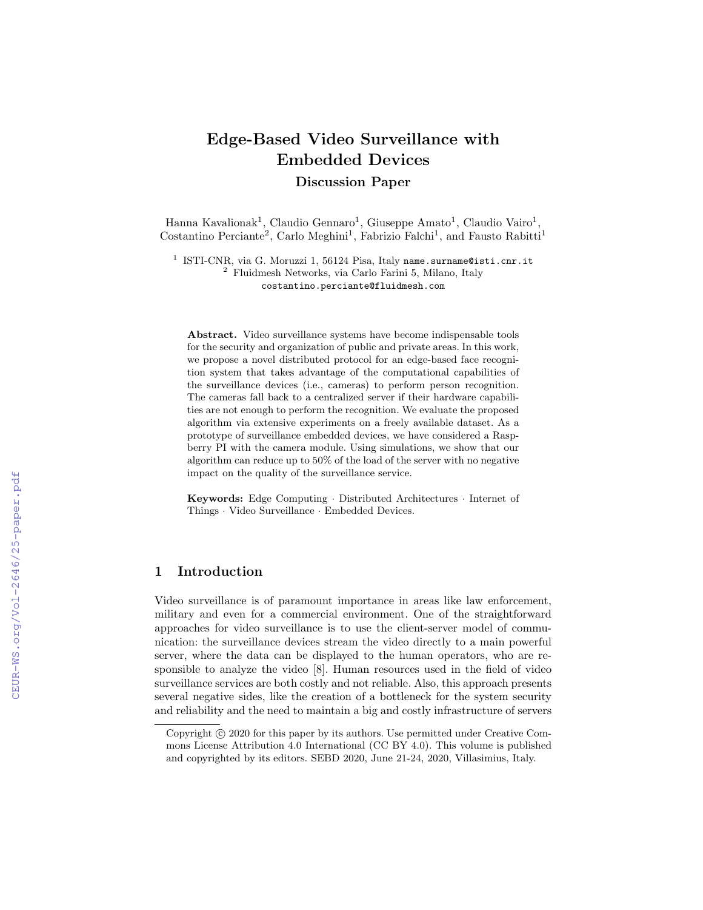# Edge-Based Video Surveillance with Embedded Devices Discussion Paper

Hanna Kavalionak<sup>1</sup>, Claudio Gennaro<sup>1</sup>, Giuseppe Amato<sup>1</sup>, Claudio Vairo<sup>1</sup>, Costantino Perciante<sup>2</sup>, Carlo Meghini<sup>1</sup>, Fabrizio Falchi<sup>1</sup>, and Fausto Rabitti<sup>1</sup>

 $^1$  ISTI-CNR, via G. Moruzzi 1, 56124 Pisa, Italy name.surname@isti.cnr.it <sup>2</sup> Fluidmesh Networks, via Carlo Farini 5, Milano, Italy costantino.perciante@fluidmesh.com

Abstract. Video surveillance systems have become indispensable tools for the security and organization of public and private areas. In this work, we propose a novel distributed protocol for an edge-based face recognition system that takes advantage of the computational capabilities of the surveillance devices (i.e., cameras) to perform person recognition. The cameras fall back to a centralized server if their hardware capabilities are not enough to perform the recognition. We evaluate the proposed algorithm via extensive experiments on a freely available dataset. As a prototype of surveillance embedded devices, we have considered a Raspberry PI with the camera module. Using simulations, we show that our algorithm can reduce up to 50% of the load of the server with no negative impact on the quality of the surveillance service.

Keywords: Edge Computing · Distributed Architectures · Internet of Things · Video Surveillance · Embedded Devices.

# 1 Introduction

Video surveillance is of paramount importance in areas like law enforcement, military and even for a commercial environment. One of the straightforward approaches for video surveillance is to use the client-server model of communication: the surveillance devices stream the video directly to a main powerful server, where the data can be displayed to the human operators, who are responsible to analyze the video [8]. Human resources used in the field of video surveillance services are both costly and not reliable. Also, this approach presents several negative sides, like the creation of a bottleneck for the system security and reliability and the need to maintain a big and costly infrastructure of servers

Copyright  $\odot$  2020 for this paper by its authors. Use permitted under Creative Commons License Attribution 4.0 International (CC BY 4.0). This volume is published and copyrighted by its editors. SEBD 2020, June 21-24, 2020, Villasimius, Italy.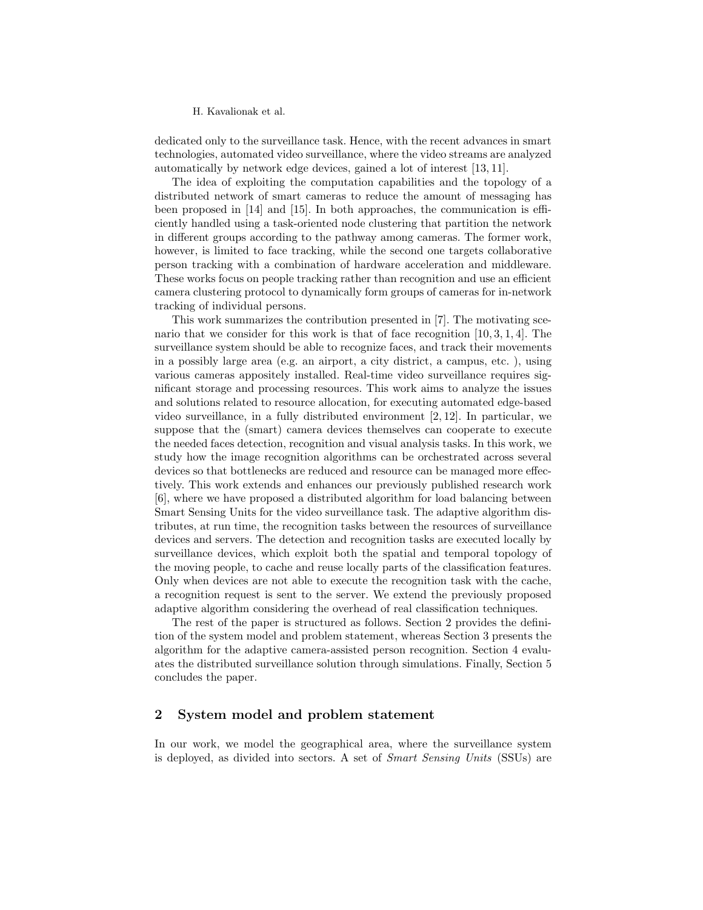dedicated only to the surveillance task. Hence, with the recent advances in smart technologies, automated video surveillance, where the video streams are analyzed automatically by network edge devices, gained a lot of interest [13, 11].

The idea of exploiting the computation capabilities and the topology of a distributed network of smart cameras to reduce the amount of messaging has been proposed in [14] and [15]. In both approaches, the communication is efficiently handled using a task-oriented node clustering that partition the network in different groups according to the pathway among cameras. The former work, however, is limited to face tracking, while the second one targets collaborative person tracking with a combination of hardware acceleration and middleware. These works focus on people tracking rather than recognition and use an efficient camera clustering protocol to dynamically form groups of cameras for in-network tracking of individual persons.

This work summarizes the contribution presented in [7]. The motivating scenario that we consider for this work is that of face recognition [10, 3, 1, 4]. The surveillance system should be able to recognize faces, and track their movements in a possibly large area (e.g. an airport, a city district, a campus, etc. ), using various cameras appositely installed. Real-time video surveillance requires significant storage and processing resources. This work aims to analyze the issues and solutions related to resource allocation, for executing automated edge-based video surveillance, in a fully distributed environment [2, 12]. In particular, we suppose that the (smart) camera devices themselves can cooperate to execute the needed faces detection, recognition and visual analysis tasks. In this work, we study how the image recognition algorithms can be orchestrated across several devices so that bottlenecks are reduced and resource can be managed more effectively. This work extends and enhances our previously published research work [6], where we have proposed a distributed algorithm for load balancing between Smart Sensing Units for the video surveillance task. The adaptive algorithm distributes, at run time, the recognition tasks between the resources of surveillance devices and servers. The detection and recognition tasks are executed locally by surveillance devices, which exploit both the spatial and temporal topology of the moving people, to cache and reuse locally parts of the classification features. Only when devices are not able to execute the recognition task with the cache, a recognition request is sent to the server. We extend the previously proposed adaptive algorithm considering the overhead of real classification techniques.

The rest of the paper is structured as follows. Section 2 provides the definition of the system model and problem statement, whereas Section 3 presents the algorithm for the adaptive camera-assisted person recognition. Section 4 evaluates the distributed surveillance solution through simulations. Finally, Section 5 concludes the paper.

## 2 System model and problem statement

In our work, we model the geographical area, where the surveillance system is deployed, as divided into sectors. A set of Smart Sensing Units (SSUs) are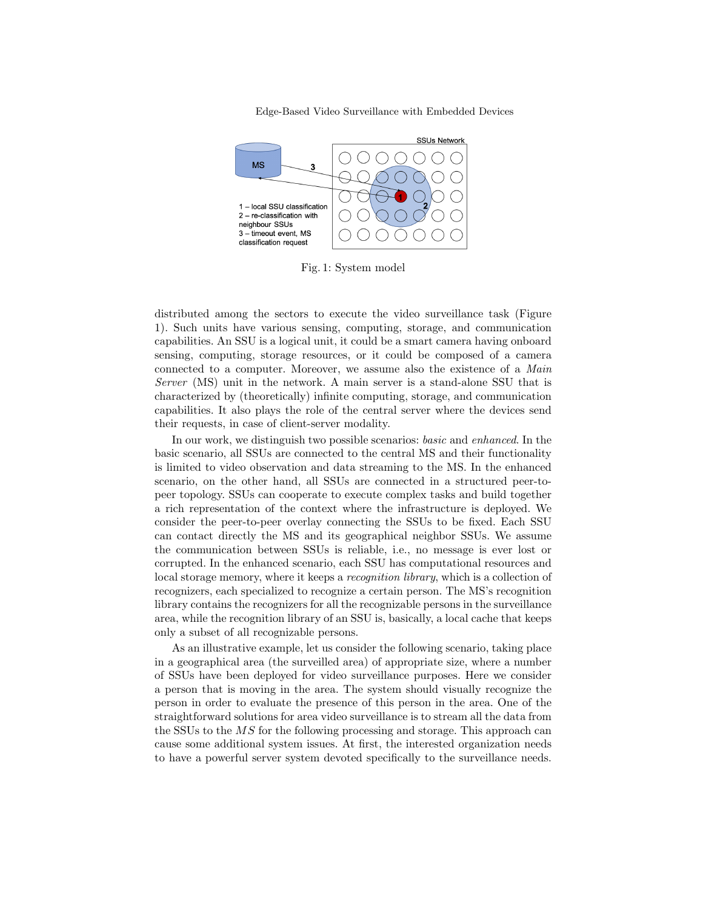Edge-Based Video Surveillance with Embedded Devices



Fig. 1: System model

distributed among the sectors to execute the video surveillance task (Figure 1). Such units have various sensing, computing, storage, and communication capabilities. An SSU is a logical unit, it could be a smart camera having onboard sensing, computing, storage resources, or it could be composed of a camera connected to a computer. Moreover, we assume also the existence of a Main Server (MS) unit in the network. A main server is a stand-alone SSU that is characterized by (theoretically) infinite computing, storage, and communication capabilities. It also plays the role of the central server where the devices send their requests, in case of client-server modality.

In our work, we distinguish two possible scenarios: basic and enhanced. In the basic scenario, all SSUs are connected to the central MS and their functionality is limited to video observation and data streaming to the MS. In the enhanced scenario, on the other hand, all SSUs are connected in a structured peer-topeer topology. SSUs can cooperate to execute complex tasks and build together a rich representation of the context where the infrastructure is deployed. We consider the peer-to-peer overlay connecting the SSUs to be fixed. Each SSU can contact directly the MS and its geographical neighbor SSUs. We assume the communication between SSUs is reliable, i.e., no message is ever lost or corrupted. In the enhanced scenario, each SSU has computational resources and local storage memory, where it keeps a *recognition library*, which is a collection of recognizers, each specialized to recognize a certain person. The MS's recognition library contains the recognizers for all the recognizable persons in the surveillance area, while the recognition library of an SSU is, basically, a local cache that keeps only a subset of all recognizable persons.

As an illustrative example, let us consider the following scenario, taking place in a geographical area (the surveilled area) of appropriate size, where a number of SSUs have been deployed for video surveillance purposes. Here we consider a person that is moving in the area. The system should visually recognize the person in order to evaluate the presence of this person in the area. One of the straightforward solutions for area video surveillance is to stream all the data from the SSUs to the MS for the following processing and storage. This approach can cause some additional system issues. At first, the interested organization needs to have a powerful server system devoted specifically to the surveillance needs.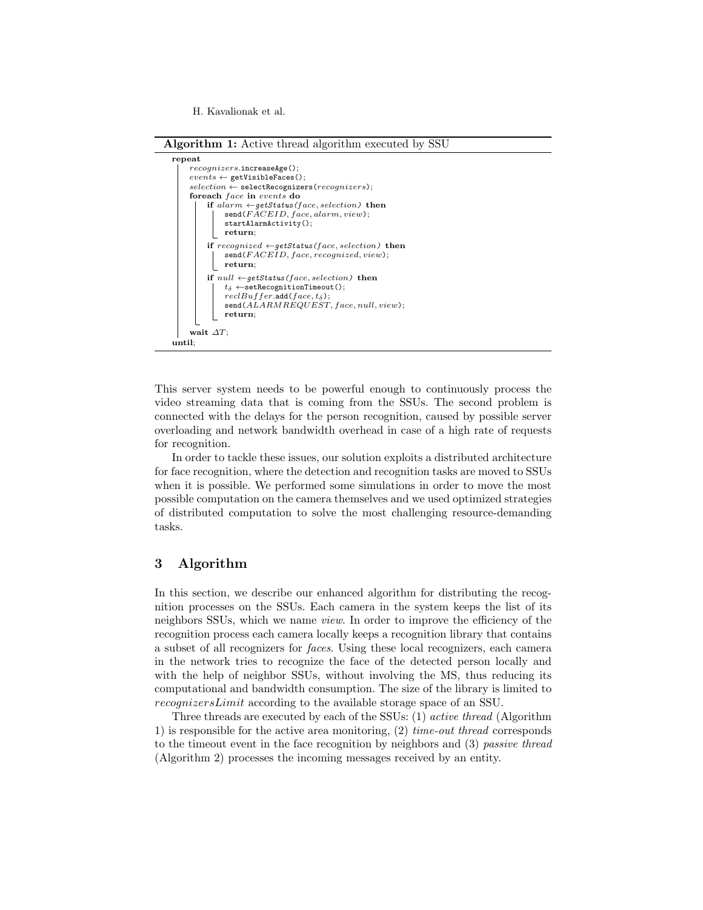Algorithm 1: Active thread algorithm executed by SSU



This server system needs to be powerful enough to continuously process the video streaming data that is coming from the SSUs. The second problem is connected with the delays for the person recognition, caused by possible server overloading and network bandwidth overhead in case of a high rate of requests for recognition.

In order to tackle these issues, our solution exploits a distributed architecture for face recognition, where the detection and recognition tasks are moved to SSUs when it is possible. We performed some simulations in order to move the most possible computation on the camera themselves and we used optimized strategies of distributed computation to solve the most challenging resource-demanding tasks.

# 3 Algorithm

In this section, we describe our enhanced algorithm for distributing the recognition processes on the SSUs. Each camera in the system keeps the list of its neighbors SSUs, which we name view. In order to improve the efficiency of the recognition process each camera locally keeps a recognition library that contains a subset of all recognizers for faces. Using these local recognizers, each camera in the network tries to recognize the face of the detected person locally and with the help of neighbor SSUs, without involving the MS, thus reducing its computational and bandwidth consumption. The size of the library is limited to recognizersLimit according to the available storage space of an SSU.

Three threads are executed by each of the SSUs: (1) active thread (Algorithm 1) is responsible for the active area monitoring,  $(2)$  time-out thread corresponds to the timeout event in the face recognition by neighbors and (3) passive thread (Algorithm 2) processes the incoming messages received by an entity.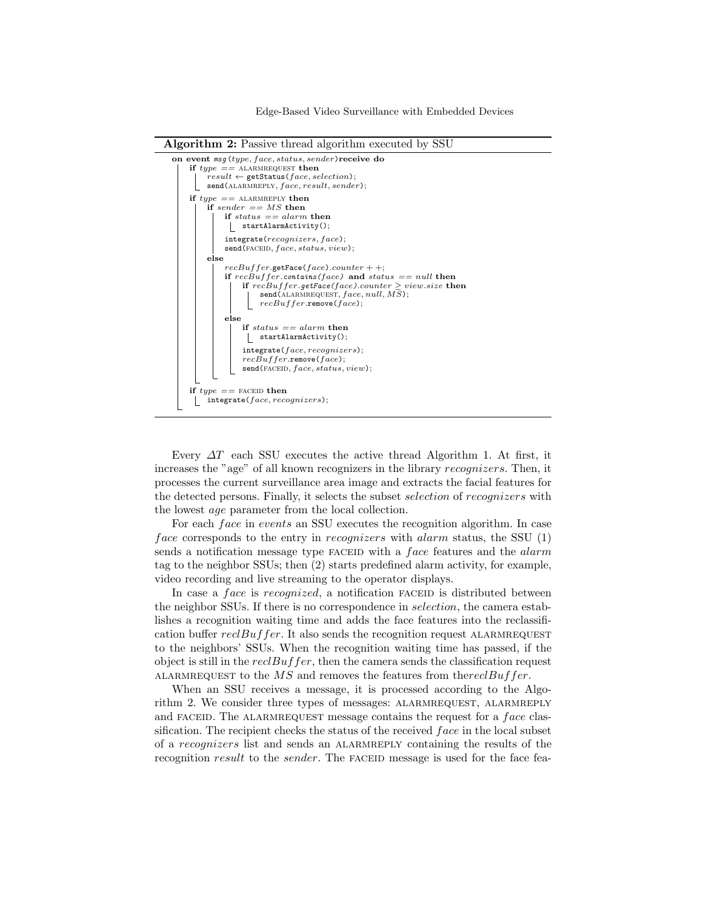Edge-Based Video Surveillance with Embedded Devices





Every  $\Delta T$  each SSU executes the active thread Algorithm 1. At first, it increases the "age" of all known recognizers in the library recognizers. Then, it processes the current surveillance area image and extracts the facial features for the detected persons. Finally, it selects the subset *selection* of *recognizers* with the lowest age parameter from the local collection.

For each *face* in events an SSU executes the recognition algorithm. In case face corresponds to the entry in *recognizers* with *alarm* status, the SSU  $(1)$ sends a notification message type FACEID with a *face* features and the *alarm* tag to the neighbor SSUs; then (2) starts predefined alarm activity, for example, video recording and live streaming to the operator displays.

In case a face is recognized, a notification FACEID is distributed between the neighbor SSUs. If there is no correspondence in selection, the camera establishes a recognition waiting time and adds the face features into the reclassification buffer  $reclBuffer$ . It also sends the recognition request ALARMREQUEST to the neighbors' SSUs. When the recognition waiting time has passed, if the object is still in the  $reclBuffer$ , then the camera sends the classification request ALARMREQUEST to the  $MS$  and removes the features from the recl Buffer.

When an SSU receives a message, it is processed according to the Algorithm 2. We consider three types of messages: ALARMREQUEST, ALARMREPLY and FACEID. The ALARMREQUEST message contains the request for a  $face$  classification. The recipient checks the status of the received  $face$  in the local subset of a recognizers list and sends an alarmreply containing the results of the recognition  $result$  to the sender. The FACEID message is used for the face fea-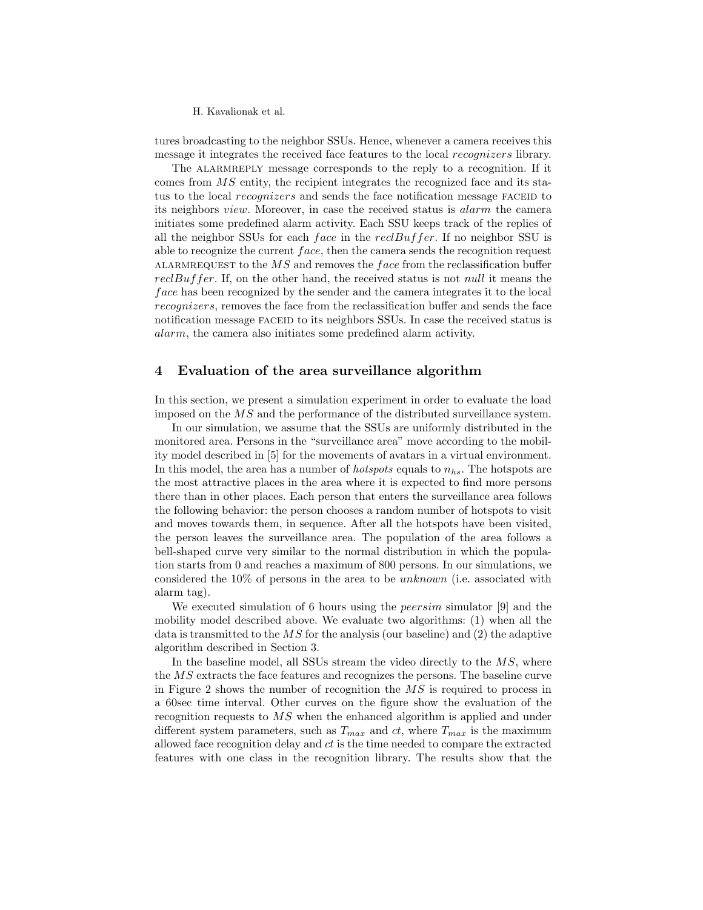tures broadcasting to the neighbor SSUs. Hence, whenever a camera receives this message it integrates the received face features to the local recognizers library.

The ALARMREPLY message corresponds to the reply to a recognition. If it comes from MS entity, the recipient integrates the recognized face and its status to the local *recognizers* and sends the face notification message FACEID to its neighbors view. Moreover, in case the received status is alarm the camera initiates some predefined alarm activity. Each SSU keeps track of the replies of all the neighbor SSUs for each face in the  $recBuffer$ . If no neighbor SSU is able to recognize the current  $face$ , then the camera sends the recognition request ALARMREQUEST to the  $MS$  and removes the face from the reclassification buffer  $recBuffer$ . If, on the other hand, the received status is not *null* it means the face has been recognized by the sender and the camera integrates it to the local recognizers, removes the face from the reclassification buffer and sends the face notification message FACEID to its neighbors SSUs. In case the received status is alarm, the camera also initiates some predefined alarm activity.

#### 4 Evaluation of the area surveillance algorithm

In this section, we present a simulation experiment in order to evaluate the load imposed on the MS and the performance of the distributed surveillance system.

In our simulation, we assume that the SSUs are uniformly distributed in the monitored area. Persons in the "surveillance area" move according to the mobility model described in [5] for the movements of avatars in a virtual environment. In this model, the area has a number of *hotspots* equals to  $n_{hs}$ . The hotspots are the most attractive places in the area where it is expected to find more persons there than in other places. Each person that enters the surveillance area follows the following behavior: the person chooses a random number of hotspots to visit and moves towards them, in sequence. After all the hotspots have been visited, the person leaves the surveillance area. The population of the area follows a bell-shaped curve very similar to the normal distribution in which the population starts from 0 and reaches a maximum of 800 persons. In our simulations, we considered the  $10\%$  of persons in the area to be *unknown* (i.e. associated with alarm tag).

We executed simulation of 6 hours using the *peersim* simulator [9] and the mobility model described above. We evaluate two algorithms: (1) when all the data is transmitted to the  $\overline{MS}$  for the analysis (our baseline) and (2) the adaptive algorithm described in Section 3.

In the baseline model, all SSUs stream the video directly to the  $MS$ , where the MS extracts the face features and recognizes the persons. The baseline curve in Figure 2 shows the number of recognition the MS is required to process in a 60sec time interval. Other curves on the figure show the evaluation of the recognition requests to MS when the enhanced algorithm is applied and under different system parameters, such as  $T_{max}$  and  $ct$ , where  $T_{max}$  is the maximum allowed face recognition delay and  $ct$  is the time needed to compare the extracted features with one class in the recognition library. The results show that the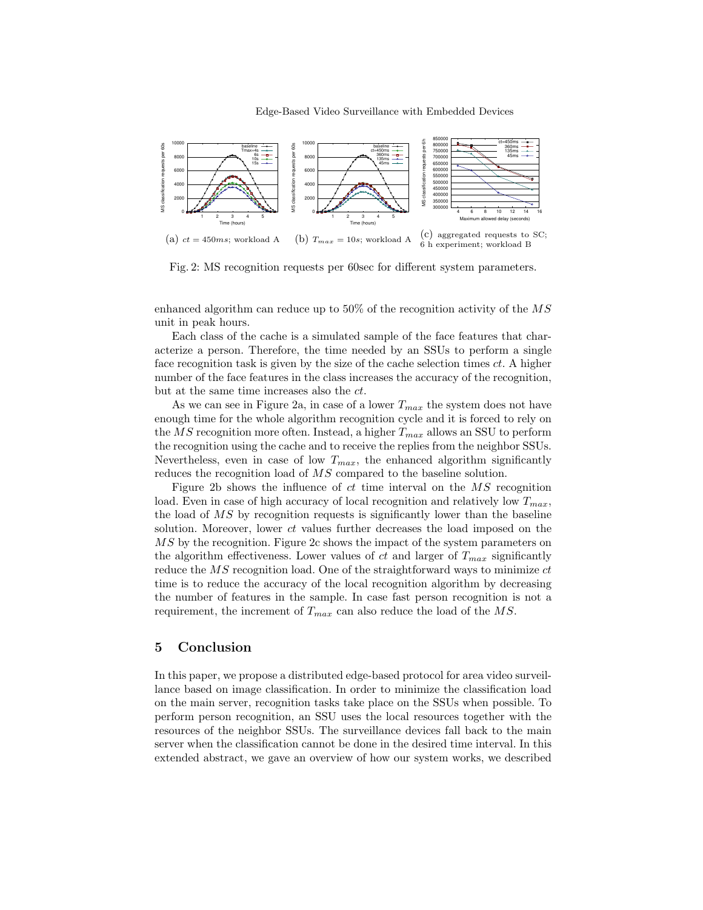

Fig. 2: MS recognition requests per 60sec for different system parameters.

enhanced algorithm can reduce up to 50% of the recognition activity of the MS unit in peak hours.

Each class of the cache is a simulated sample of the face features that characterize a person. Therefore, the time needed by an SSUs to perform a single face recognition task is given by the size of the cache selection times ct. A higher number of the face features in the class increases the accuracy of the recognition, but at the same time increases also the ct.

As we can see in Figure 2a, in case of a lower  $T_{max}$  the system does not have enough time for the whole algorithm recognition cycle and it is forced to rely on the MS recognition more often. Instead, a higher  $T_{max}$  allows an SSU to perform the recognition using the cache and to receive the replies from the neighbor SSUs. Nevertheless, even in case of low  $T_{max}$ , the enhanced algorithm significantly reduces the recognition load of  $MS$  compared to the baseline solution.

Figure 2b shows the influence of  $ct$  time interval on the  $\overline{MS}$  recognition load. Even in case of high accuracy of local recognition and relatively low  $T_{max}$ , the load of MS by recognition requests is significantly lower than the baseline solution. Moreover, lower  $ct$  values further decreases the load imposed on the MS by the recognition. Figure 2c shows the impact of the system parameters on the algorithm effectiveness. Lower values of ct and larger of  $T_{max}$  significantly reduce the  $\overline{MS}$  recognition load. One of the straightforward ways to minimize ct time is to reduce the accuracy of the local recognition algorithm by decreasing the number of features in the sample. In case fast person recognition is not a requirement, the increment of  $T_{max}$  can also reduce the load of the MS.

#### 5 Conclusion

In this paper, we propose a distributed edge-based protocol for area video surveillance based on image classification. In order to minimize the classification load on the main server, recognition tasks take place on the SSUs when possible. To perform person recognition, an SSU uses the local resources together with the resources of the neighbor SSUs. The surveillance devices fall back to the main server when the classification cannot be done in the desired time interval. In this extended abstract, we gave an overview of how our system works, we described